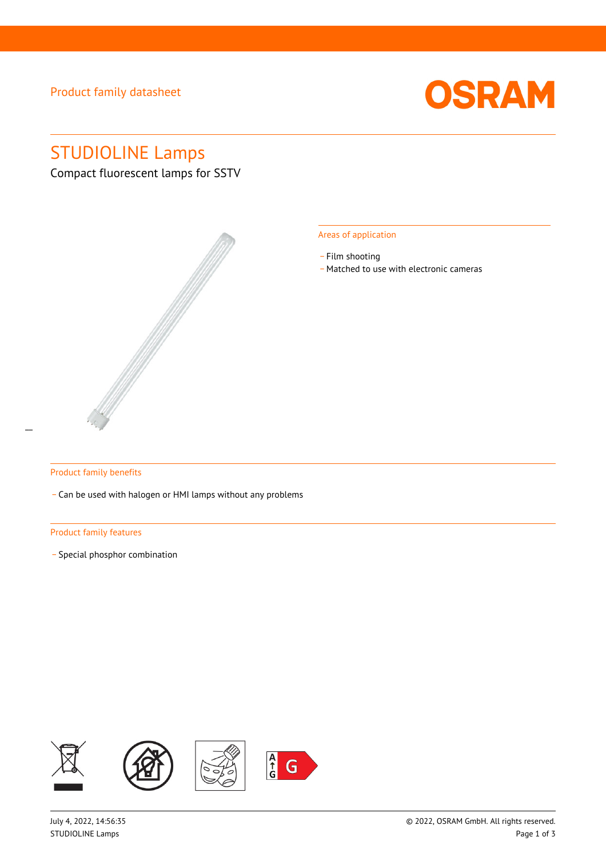### Product family datasheet



# STUDIOLINE Lamps

Compact fluorescent lamps for SSTV



#### Areas of application

- Film shooting
- \_ Matched to use with electronic cameras

#### Product family benefits

\_ Can be used with halogen or HMI lamps without any problems

#### Product family features

\_ Special phosphor combination

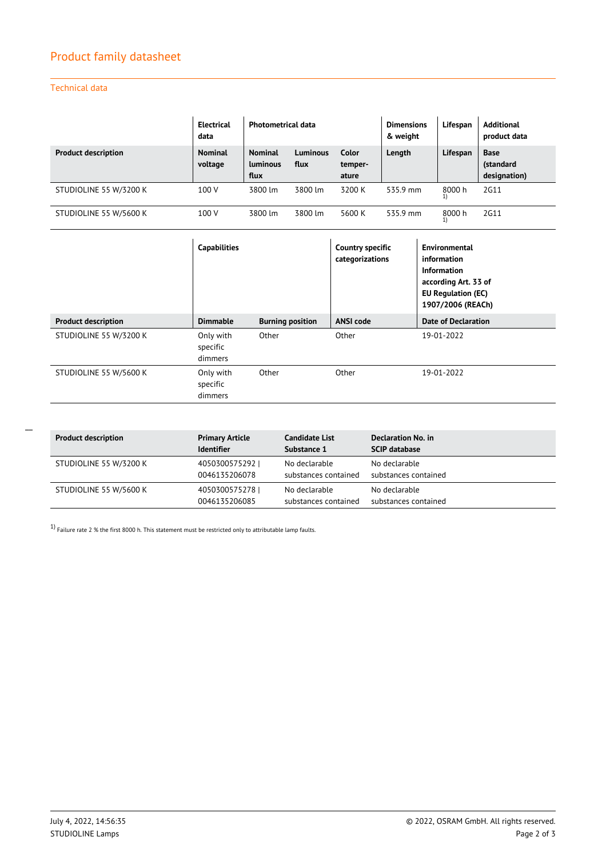### Product family datasheet

Technical data

|                            | <b>Electrical</b><br>data | <b>Photometrical data</b>                 |                         |                           | <b>Dimensions</b><br>& weight | Lifespan | <b>Additional</b><br>product data        |
|----------------------------|---------------------------|-------------------------------------------|-------------------------|---------------------------|-------------------------------|----------|------------------------------------------|
| <b>Product description</b> | <b>Nominal</b><br>voltage | <b>Nominal</b><br><b>Luminous</b><br>flux | <b>Luminous</b><br>flux | Color<br>temper-<br>ature | Length                        | Lifespan | <b>Base</b><br>(standard<br>designation) |
| STUDIOLINE 55 W/3200 K     | 100 V                     | 3800 lm                                   | 3800 lm                 | 3200 K                    | 535.9 mm                      | 8000 h   | 2G11                                     |
| STUDIOLINE 55 W/5600 K     | 100 V                     | 3800 lm                                   | 3800 lm                 | 5600 K                    | 535.9 mm                      | 8000 h   | 2G11                                     |

|                            | <b>Capabilities</b>              |                         | <b>Country specific</b><br>categorizations | Environmental<br>information<br>Information<br>according Art. 33 of<br><b>EU Regulation (EC)</b><br>1907/2006 (REACh) |
|----------------------------|----------------------------------|-------------------------|--------------------------------------------|-----------------------------------------------------------------------------------------------------------------------|
| <b>Product description</b> | <b>Dimmable</b>                  | <b>Burning position</b> | <b>ANSI code</b>                           | <b>Date of Declaration</b>                                                                                            |
| STUDIOLINE 55 W/3200 K     | Only with<br>specific<br>dimmers | Other                   | Other                                      | 19-01-2022                                                                                                            |
| STUDIOLINE 55 W/5600 K     | Only with<br>specific<br>dimmers | Other                   | Other                                      | 19-01-2022                                                                                                            |

**Product description Primary Article Identifier Candidate List Substance 1 Declaration No. in SCIP database** STUDIOLINE 55 W/3200 K 4050300575292 | 0046135206078 No declarable substances contained No declarable substances contained STUDIOLINE 55 W/5600 K 4050300575278 | 0046135206085 No declarable substances contained No declarable substances contained

 $1)$  Failure rate 2 % the first 8000 h. This statement must be restricted only to attributable lamp faults.

 $\overline{a}$